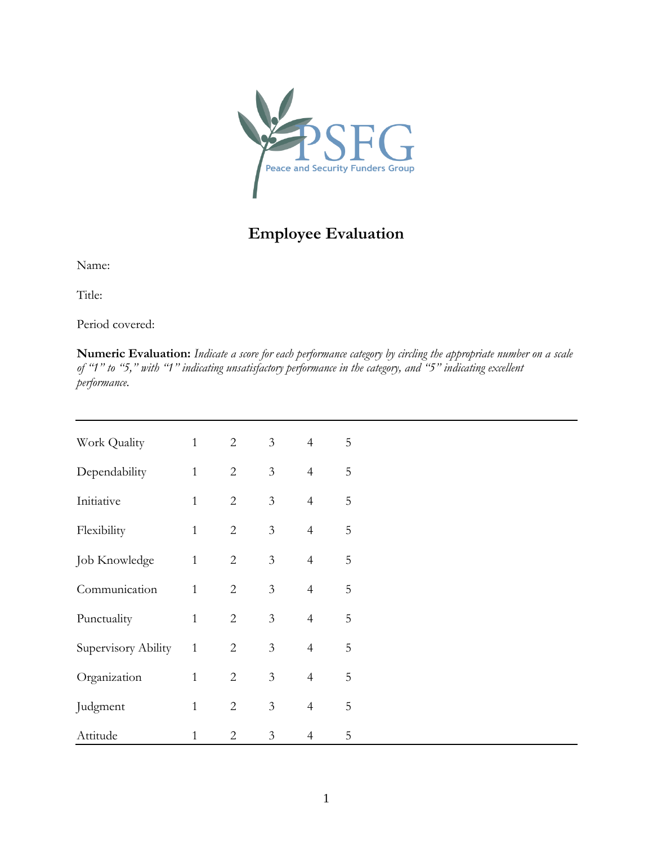

## **Employee Evaluation**

Name:

Title:

Period covered:

**Numeric Evaluation:** *Indicate a score for each performance category by circling the appropriate number on a scale of "1" to "5," with "1" indicating unsatisfactory performance in the category, and "5" indicating excellent performance.*

| Work Quality        | $\mathbf{1}$ | $\overline{2}$ | $\mathfrak{Z}$ | $\overline{4}$ | 5 |  |
|---------------------|--------------|----------------|----------------|----------------|---|--|
| Dependability       | $\mathbf{1}$ | $\overline{2}$ | $\overline{3}$ | $\overline{4}$ | 5 |  |
| Initiative          | $\mathbf{1}$ | $\overline{2}$ | 3              | $\overline{4}$ | 5 |  |
| Flexibility         | $\mathbf{1}$ | $\overline{2}$ | 3              | $\overline{4}$ | 5 |  |
| Job Knowledge       | $\mathbf{1}$ | $\overline{2}$ | 3              | $\overline{4}$ | 5 |  |
| Communication       | $\mathbf{1}$ | $\overline{2}$ | $\overline{3}$ | $\overline{4}$ | 5 |  |
| Punctuality         | $\mathbf{1}$ | $\overline{2}$ | $\mathfrak{Z}$ | $\overline{4}$ | 5 |  |
| Supervisory Ability | $\mathbf{1}$ | $\overline{2}$ | 3              | $\overline{4}$ | 5 |  |
| Organization        | $\mathbf{1}$ | $\overline{2}$ | 3              | $\overline{4}$ | 5 |  |
| Judgment            | $\mathbf{1}$ | $\overline{2}$ | 3              | $\overline{4}$ | 5 |  |
| Attitude            | $\mathbf 1$  | $\overline{2}$ | 3              | $\overline{4}$ | 5 |  |